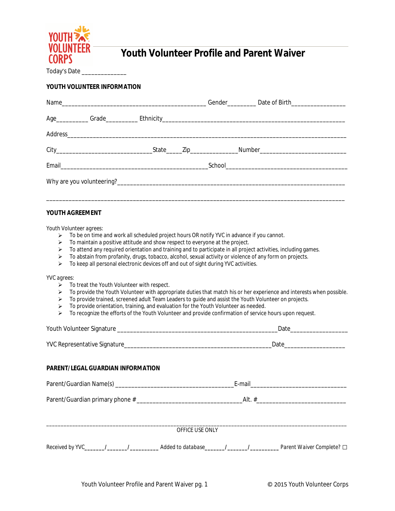

# **Youth Volunteer Profile and Parent Waiver**

Today's Date \_\_\_\_\_\_\_\_\_\_\_\_\_\_

### **YOUTH VOLUNTEER INFORMATION**

## **YOUTH AGREEMENT**

*Youth Volunteer agrees:*

- $\triangleright$  To be on time and work all scheduled project hours OR notify YVC in advance if you cannot.
- To maintain a positive attitude and show respect to everyone at the project.
- To attend any required orientation and training and to participate in all project activities, including games.
- $\triangleright$  To abstain from profanity, drugs, tobacco, alcohol, sexual activity or violence of any form on projects.
- $\triangleright$  To keep all personal electronic devices off and out of sight during YVC activities.

*YVC agrees:*

- $\triangleright$  To treat the Youth Volunteer with respect.
- > To provide the Youth Volunteer with appropriate duties that match his or her experience and interests when possible.
- To provide trained, screened adult Team Leaders to guide and assist the Youth Volunteer on projects.
- To provide orientation, training, and evaluation for the Youth Volunteer as needed.
- > To recognize the efforts of the Youth Volunteer and provide confirmation of service hours upon request.

|                                                                                                                            | Date and the contract of the contract of the contract of the contract of the contract of the contract of the contract of the contract of the contract of the contract of the contract of the contract of the contract of the c |  |  |  |
|----------------------------------------------------------------------------------------------------------------------------|--------------------------------------------------------------------------------------------------------------------------------------------------------------------------------------------------------------------------------|--|--|--|
|                                                                                                                            | _Date_________________________                                                                                                                                                                                                 |  |  |  |
| <b>PARENT/LEGAL GUARDIAN INFORMATION</b>                                                                                   |                                                                                                                                                                                                                                |  |  |  |
|                                                                                                                            |                                                                                                                                                                                                                                |  |  |  |
|                                                                                                                            |                                                                                                                                                                                                                                |  |  |  |
| <b>OFFICE USE ONLY</b>                                                                                                     |                                                                                                                                                                                                                                |  |  |  |
| Received by YVC_______/________/_________________Added to database________/_________________Parent Waiver Complete? $\Box$ |                                                                                                                                                                                                                                |  |  |  |